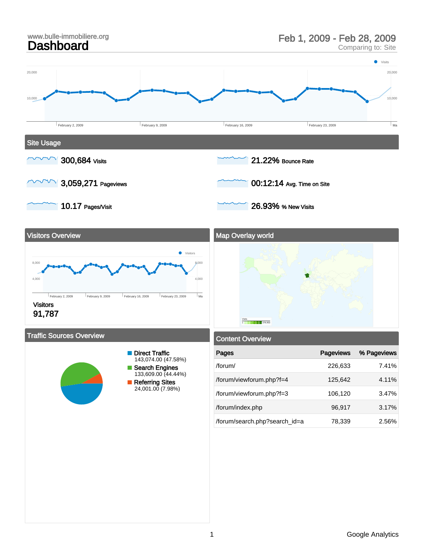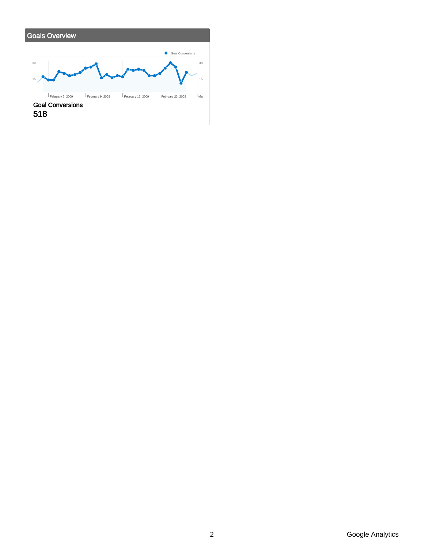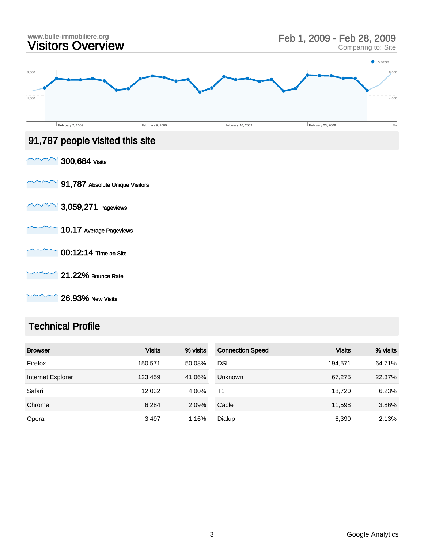

26.93% New Visits

### Technical Profile

| <b>Browser</b>    | <b>Visits</b> | % visits | <b>Connection Speed</b> | <b>Visits</b> | % visits |
|-------------------|---------------|----------|-------------------------|---------------|----------|
| Firefox           | 150,571       | 50.08%   | <b>DSL</b>              | 194,571       | 64.71%   |
| Internet Explorer | 123,459       | 41.06%   | <b>Unknown</b>          | 67,275        | 22.37%   |
| Safari            | 12,032        | 4.00%    | Τ1                      | 18,720        | 6.23%    |
| Chrome            | 6,284         | 2.09%    | Cable                   | 11,598        | 3.86%    |
| Opera             | 3,497         | 1.16%    | Dialup                  | 6,390         | 2.13%    |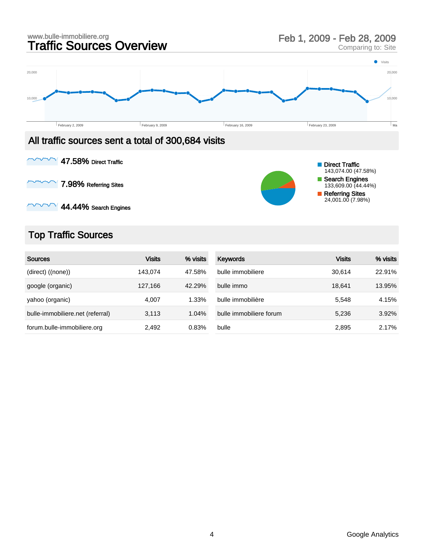



7.98% Referring Sites  $\checkmark$ 



 $\vee$  44.44% Search Engines

## Top Traffic Sources

| <b>Sources</b>                   | <b>Visits</b> | % visits | Keywords                | <b>Visits</b> | % visits |
|----------------------------------|---------------|----------|-------------------------|---------------|----------|
| (direct) ((none))                | 143.074       | 47.58%   | bulle immobiliere       | 30.614        | 22.91%   |
| google (organic)                 | 127.166       | 42.29%   | bulle immo              | 18.641        | 13.95%   |
| yahoo (organic)                  | 4.007         | 1.33%    | bulle immobilière       | 5.548         | 4.15%    |
| bulle-immobiliere.net (referral) | 3,113         | 1.04%    | bulle immobiliere forum | 5,236         | 3.92%    |
| forum.bulle-immobiliere.org      | 2,492         | 0.83%    | bulle                   | 2,895         | 2.17%    |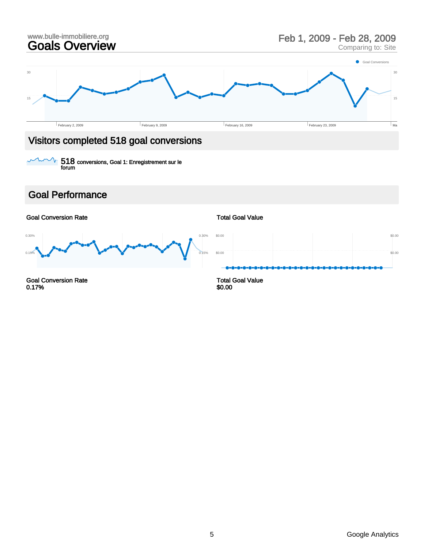

518 conversions, Goal 1: Enregistrement sur le forum V

### Goal Performance

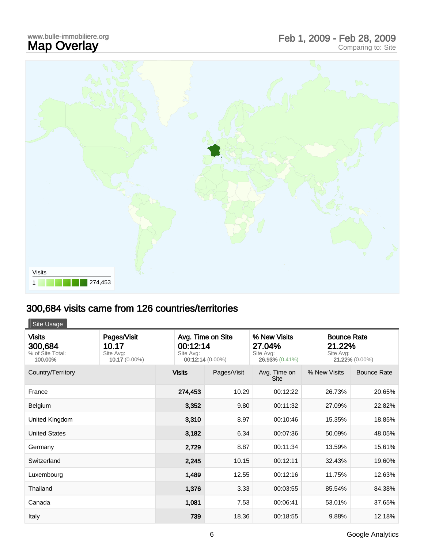## www.bulle-immobiliere.org<br>**Map Overlay** www.bulle-immobiliere.org<br> **Map Overlay** Comparing to: Site<br>
Comparing to: Site



# 300,684 visits came from 126 countries/territories

Site Usage

| <b>Visits</b><br>300,684<br>% of Site Total:<br>100.00% | Pages/Visit<br>10.17<br>Site Avg:<br>10.17 (0.00%) | Avg. Time on Site<br>00:12:14<br>Site Avg:<br>00:12:14 (0.00%) |             | % New Visits<br>27.04%<br>Site Avg:<br>26.93% (0.41%) | Site Avg:    | <b>Bounce Rate</b><br>21.22%<br>21.22% (0.00%) |  |
|---------------------------------------------------------|----------------------------------------------------|----------------------------------------------------------------|-------------|-------------------------------------------------------|--------------|------------------------------------------------|--|
| Country/Territory                                       |                                                    | <b>Visits</b>                                                  | Pages/Visit | Avg. Time on<br><b>Site</b>                           | % New Visits | <b>Bounce Rate</b>                             |  |
| France                                                  |                                                    | 274,453                                                        | 10.29       | 00:12:22                                              | 26.73%       | 20.65%                                         |  |
| Belgium                                                 |                                                    | 3,352                                                          | 9.80        | 00:11:32                                              | 27.09%       | 22.82%                                         |  |
| United Kingdom                                          |                                                    | 3,310                                                          | 8.97        | 00:10:46                                              | 15.35%       | 18.85%                                         |  |
| <b>United States</b>                                    |                                                    | 3,182                                                          | 6.34        | 00:07:36                                              | 50.09%       | 48.05%                                         |  |
| Germany                                                 |                                                    | 2,729                                                          | 8.87        | 00:11:34                                              | 13.59%       | 15.61%                                         |  |
| Switzerland                                             |                                                    | 2,245                                                          | 10.15       | 00:12:11                                              | 32.43%       | 19.60%                                         |  |
| Luxembourg                                              |                                                    | 1,489                                                          | 12.55       | 00:12:16                                              | 11.75%       | 12.63%                                         |  |
| Thailand                                                |                                                    | 1,376                                                          | 3.33        | 00:03:55                                              | 85.54%       | 84.38%                                         |  |
| Canada                                                  |                                                    | 1,081                                                          | 7.53        | 00:06:41                                              | 53.01%       | 37.65%                                         |  |
| Italy                                                   |                                                    | 739                                                            | 18.36       | 00:18:55                                              | 9.88%        | 12.18%                                         |  |